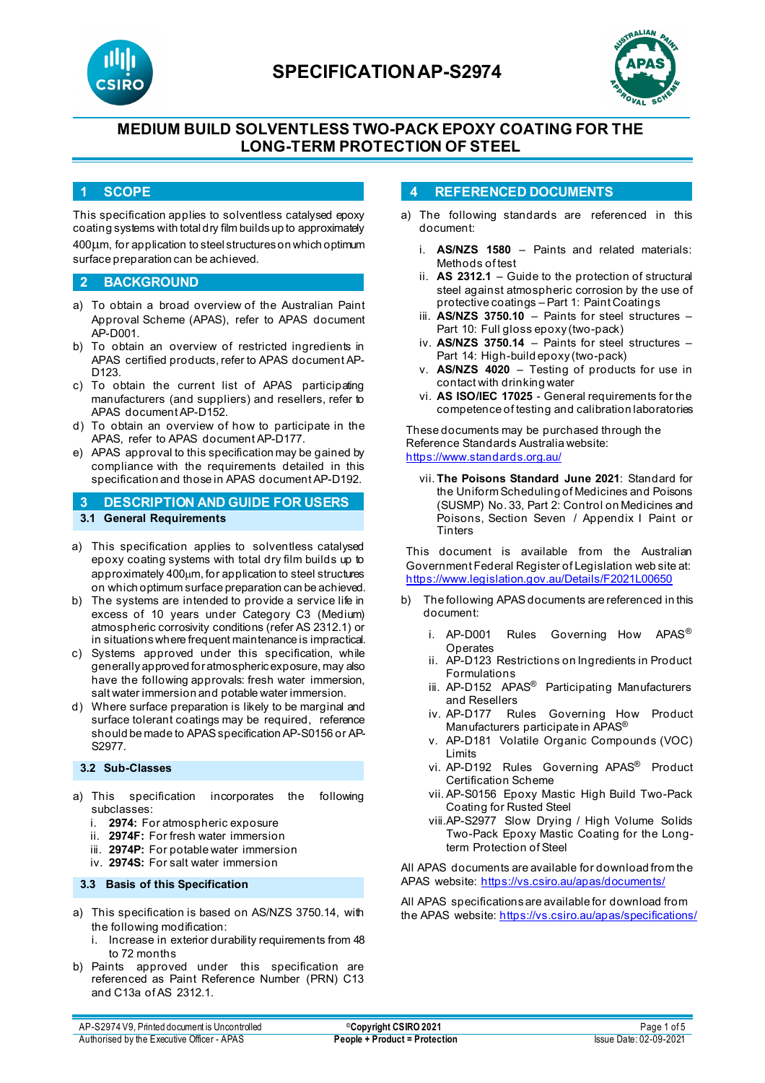



# **MEDIUM BUILD SOLVENTLESS TWO-PACK EPOXY COATING FOR THE LONG-TERM PROTECTION OF STEEL**

### **1 SCOPE**

This specification applies to solventless catalysed epoxy coating systems with total dry film builds up to approximately 400µm, for application to steel structures on which optimum surface preparation can be achieved.

#### **2 BACKGROUND**

- a) To obtain a broad overview of the Australian Paint Approval Scheme (APAS), refer to APAS document AP-D001.
- b) To obtain an overview of restricted ingredients in APAS certified products, refer to APAS document AP-D<sub>123</sub>
- c) To obtain the current list of APAS participating manufacturers (and suppliers) and resellers, refer to APAS document AP-D152.
- d) To obtain an overview of how to participate in the APAS, refer to APAS document AP-D177.
- e) APAS approval to this specification may be gained by compliance with the requirements detailed in this specification and those in APAS document AP-D192.
- **3 DESCRIPTION AND GUIDE FOR USERS 3.1 General Requirements**
- a) This specification applies to solventless catalysed epoxy coating systems with total dry film builds up to approximately 400um, for application to steel structures on which optimum surface preparation can be achieved.
- b) The systems are intended to provide a service life in excess of 10 years under Category C3 (Medium) atmospheric corrosivity conditions (refer AS 2312.1) or in situations where frequent maintenance is impractical.
- c) Systems approved under this specification, while generally approved for atmospheric exposure, may also have the following approvals: fresh water immersion, salt water immersion and potable water immersion.
- d) Where surface preparation is likely to be marginal and surface tolerant coatings may be required, reference should be made to APAS specification AP-S0156 or AP-S2977.

#### **3.2 Sub-Classes**

- a) This specification incorporates the following subclasses:
	- 2974: For atmospheric exposure
	- ii. **2974F:** For fresh water immersion
	- iii. **2974P:** For potable water immersion
	- iv. **2974S:** For salt water immersion

#### **3.3 Basis of this Specification**

- a) This specification is based on AS/NZS 3750.14, with the following modification:
	- i. Increase in exterior durability requirements from 48 to 72 months
- b) Paints approved under this specification are referenced as Paint Reference Number (PRN) C13 and C13a of AS 2312.1.

#### **4 REFERENCED DOCUMENTS**

- a) The following standards are referenced in this document:
	- i. **AS/NZS 1580** Paints and related materials: Methods of test
	- ii. **AS 2312.1** Guide to the protection of structural steel against atmospheric corrosion by the use of protective coatings – Part 1: Paint Coatings
	- iii. **AS/NZS 3750.10** Paints for steel structures Part 10: Full gloss epoxy (two-pack)
	- iv. **AS/NZS 3750.14** Paints for steel structures Part 14: High-build epoxy (two-pack)
	- v. **AS/NZS 4020** Testing of products for use in contact with drinking water
	- vi. **AS ISO/IEC 17025**  General requirements for the competence of testing and calibration laboratories

These documents may be purchased through the Reference Standards Australia website: <https://www.standards.org.au/>

vii. **The Poisons Standard June 2021**: Standard for the Uniform Scheduling of Medicines and Poisons (SUSMP) No. 33, Part 2: Control on Medicines and Poisons, Section Seven / Appendix I Paint or **Tinters** 

This document is available from the Australian Government Federal Register of Legislation web site at: <https://www.legislation.gov.au/Details/F2021L00650>

- b) The following APAS documents are referenced in this document:
	- i. AP-D001 Rules Governing How APAS<sup>®</sup> Operates
	- ii. AP-D123 Restrictions on Ingredients in Product Formulations
	- iii. AP-D152 APAS<sup>®</sup> Participating Manufacturers and Resellers
	- iv. AP-D177 Rules Governing How Product Manufacturers participate in APAS®
	- v. AP-D181 Volatile Organic Compounds (VOC) Limits
	- vi. AP-D192 Rules Governing APAS® Product Certification Scheme
	- vii. AP-S0156 Epoxy Mastic High Build Two-Pack Coating for Rusted Steel
	- viii.AP-S2977 Slow Drying / High Volume Solids Two-Pack Epoxy Mastic Coating for the Longterm Protection of Steel

All APAS documents are available for download from the APAS website: <https://vs.csiro.au/apas/documents/>

All APAS specificationsare available for download from the APAS website:<https://vs.csiro.au/apas/specifications/>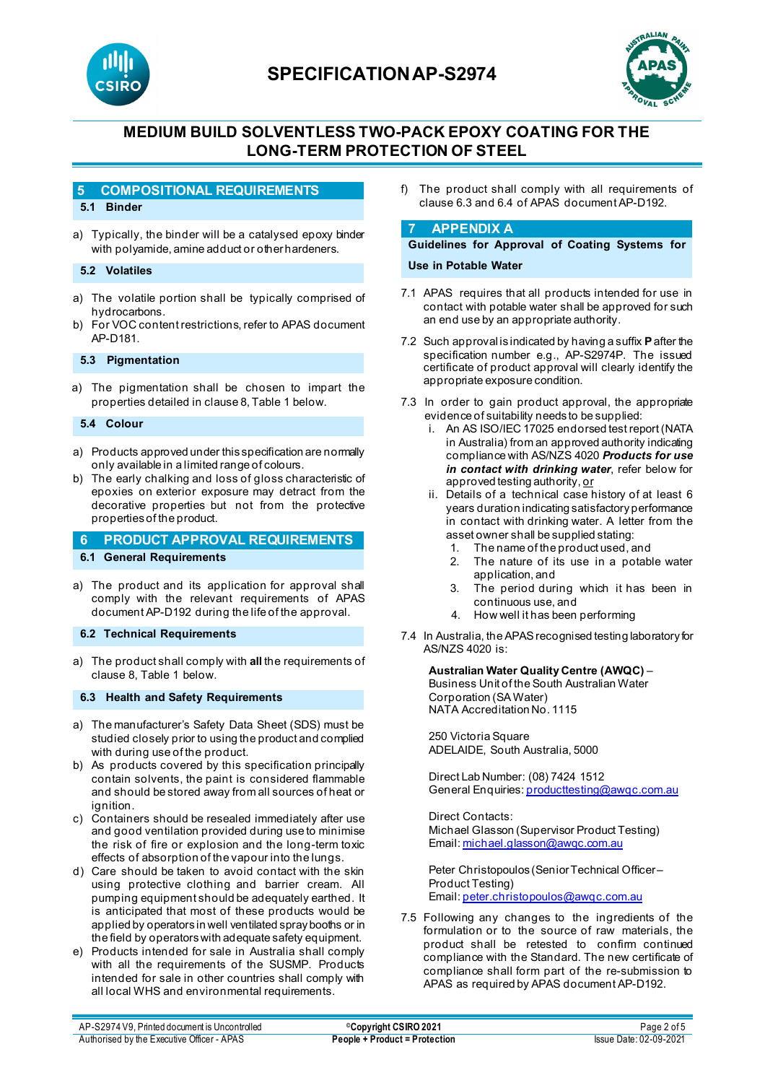

# **SPECIFICATIONAP-S2974**



# **MEDIUM BUILD SOLVENTLESS TWO-PACK EPOXY COATING FOR THE LONG-TERM PROTECTION OF STEEL**

#### **5 COMPOSITIONAL REQUIREMENTS**

#### **5.1 Binder**

a) Typically, the binder will be a catalysed epoxy binder with polyamide, amine adduct or other hardeners.

#### **5.2 Volatiles**

- a) The volatile portion shall be typically comprised of hydrocarbons.
- b) For VOC content restrictions, refer to APAS document AP-D181.

#### **5.3 Pigmentation**

a) The pigmentation shall be chosen to impart the properties detailed in clause 8, Table 1 below.

#### **5.4 Colour**

- a) Products approved under this specification are normally only available in a limited range of colours.
- b) The early chalking and loss of gloss characteristic of epoxies on exterior exposure may detract from the decorative properties but not from the protective properties of the product.

#### **6 PRODUCT APPROVAL REQUIREMENTS**

**6.1 General Requirements**

- a) The product and its application for approval shall comply with the relevant requirements of APAS document AP-D192 during the life of the approval.
- **6.2 Technical Requirements**
- a) The product shall comply with **all** the requirements of clause 8, Table 1 below.

#### **6.3 Health and Safety Requirements**

- a) The manufacturer's Safety Data Sheet (SDS) must be studied closely prior to using the product and complied with during use of the product.
- b) As products covered by this specification principally contain solvents, the paint is considered flammable and should be stored away from all sources of heat or ignition.
- c) Containers should be resealed immediately after use and good ventilation provided during use to minimise the risk of fire or explosion and the long-term toxic effects of absorption of the vapour into the lungs.
- d) Care should be taken to avoid contact with the skin using protective clothing and barrier cream. All pumping equipment should be adequately earthed. It is anticipated that most of these products would be applied by operators in well ventilated spray booths or in the field by operators with adequate safety equipment.
- e) Products intended for sale in Australia shall comply with all the requirements of the SUSMP. Products intended for sale in other countries shall comply with all local WHS and environmental requirements.

f) The product shall comply with all requirements of clause 6.3 and 6.4 of APAS document AP-D192.

#### **7 APPENDIX A**

### **Guidelines for Approval of Coating Systems for**

#### **Use in Potable Water**

- 7.1 APAS requires that all products intended for use in contact with potable water shall be approved for such an end use by an appropriate authority.
- 7.2 Such approval is indicated by having a suffix **P**after the specification number e.g., AP-S2974P. The issued certificate of product approval will clearly identify the appropriate exposure condition.
- 7.3 In order to gain product approval, the appropriate evidence of suitability needs to be supplied:
	- i. An AS ISO/IEC 17025 endorsed test report (NATA in Australia) from an approved authority indicating compliance with AS/NZS 4020 *Products for use in contact with drinking water*, refer below for approved testing authority, or
	- ii. Details of a technical case history of at least 6 years duration indicating satisfactory performance in contact with drinking water. A letter from the asset owner shall be supplied stating:
		- 1. The name of the product used, and
		- 2. The nature of its use in a potable water application, and
		- 3. The period during which it has been in continuous use, and
		- 4. How well it has been performing
- 7.4 In Australia, the APAS recognised testing laboratory for AS/NZS 4020 is:

#### **Australian Water Quality Centre (AWQC)** –

Business Unit of the South Australian Water Corporation (SA Water) NATA Accreditation No. 1115

250 Victoria Square ADELAIDE, South Australia, 5000

Direct Lab Number: (08) 7424 1512 General Enquirie[s: producttesting@awqc.com.au](mailto:producttesting@awqc.com.au)

Direct Contacts: Michael Glasson (Supervisor Product Testing) Email[: michael.glasson@awqc.com.au](mailto:michael.glasson@awqc.com.au)

Peter Christopoulos (Senior Technical Officer – Product Testing) Email[: peter.christopoulos@awqc.com.au](mailto:peter.christopoulos@awqc.com.au)

7.5 Following any changes to the ingredients of the formulation or to the source of raw materials, the product shall be retested to confirm continued compliance with the Standard. The new certificate of compliance shall form part of the re-submission to APAS as required by APAS document AP-D192.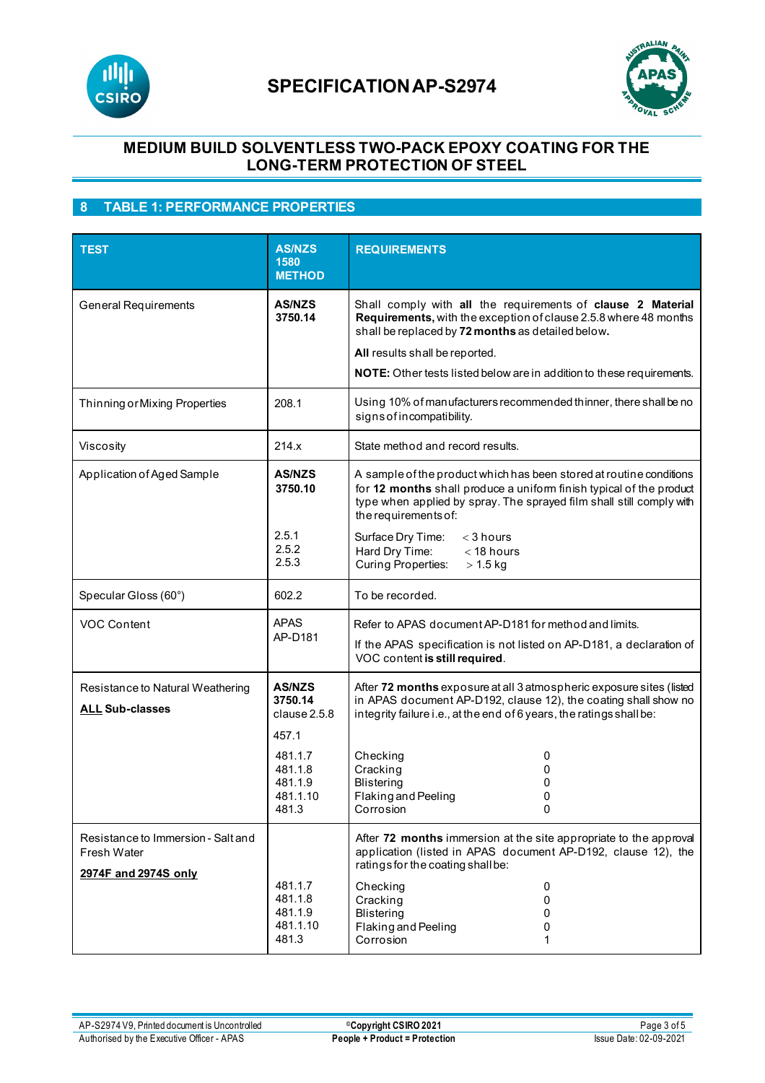



## **MEDIUM BUILD SOLVENTLESS TWO-PACK EPOXY COATING FOR THE LONG-TERM PROTECTION OF STEEL**

### **8 TABLE 1: PERFORMANCE PROPERTIES**

| <b>TEST</b>                                                               | <b>AS/NZS</b><br>1580<br><b>METHOD</b>                       | <b>REQUIREMENTS</b>                                                                                                                                                                                                                                                                             |
|---------------------------------------------------------------------------|--------------------------------------------------------------|-------------------------------------------------------------------------------------------------------------------------------------------------------------------------------------------------------------------------------------------------------------------------------------------------|
| <b>General Requirements</b>                                               | <b>AS/NZS</b><br>3750.14                                     | Shall comply with all the requirements of clause 2 Material<br>Requirements, with the exception of clause 2.5.8 where 48 months<br>shall be replaced by 72 months as detailed below.<br>All results shall be reported.<br>NOTE: Other tests listed below are in addition to these requirements. |
| Thinning or Mixing Properties                                             | 208.1                                                        | Using 10% of manufacturers recommended thinner, there shall be no<br>signs of incompatibility.                                                                                                                                                                                                  |
| Viscosity                                                                 | 214.x                                                        | State method and record results.                                                                                                                                                                                                                                                                |
| Application of Aged Sample                                                | <b>AS/NZS</b><br>3750.10                                     | A sample of the product which has been stored at routine conditions<br>for 12 months shall produce a uniform finish typical of the product<br>type when applied by spray. The sprayed film shall still comply with<br>the requirements of:                                                      |
|                                                                           | 2.5.1<br>2.5.2<br>2.5.3                                      | Surface Dry Time:<br>$<$ 3 hours<br>Hard Dry Time:<br>$<$ 18 hours<br><b>Curing Properties:</b><br>$> 1.5$ kg                                                                                                                                                                                   |
| Specular Gloss (60°)                                                      | 602.2                                                        | To be recorded.                                                                                                                                                                                                                                                                                 |
| <b>VOC Content</b>                                                        | <b>APAS</b><br>AP-D181                                       | Refer to APAS document AP-D181 for method and limits.<br>If the APAS specification is not listed on AP-D181, a declaration of<br>VOC content is still required.                                                                                                                                 |
| Resistance to Natural Weathering<br><b>ALL Sub-classes</b>                | <b>AS/NZS</b><br>3750.14<br>clause 2.5.8<br>457.1<br>481.1.7 | After 72 months exposure at all 3 atmospheric exposure sites (listed<br>in APAS document AP-D192, clause 12), the coating shall show no<br>integrity failure i.e., at the end of 6 years, the ratings shall be:<br>0                                                                            |
|                                                                           | 481.1.8<br>481.1.9<br>481.1.10<br>481.3                      | Checking<br>Cracking<br>0<br><b>Blistering</b><br>0<br>Flaking and Peeling<br>0<br>Corrosion                                                                                                                                                                                                    |
| Resistance to Immersion - Salt and<br>Fresh Water<br>2974F and 2974S only |                                                              | After 72 months immersion at the site appropriate to the approval<br>application (listed in APAS document AP-D192, clause 12), the<br>ratings for the coating shall be:                                                                                                                         |
|                                                                           | 481.1.7<br>481.1.8<br>481.1.9<br>481.1.10<br>481.3           | Checking<br>0<br>Cracking<br>0<br><b>Blistering</b><br>0<br>Flaking and Peeling<br>0<br>Corrosion<br>1                                                                                                                                                                                          |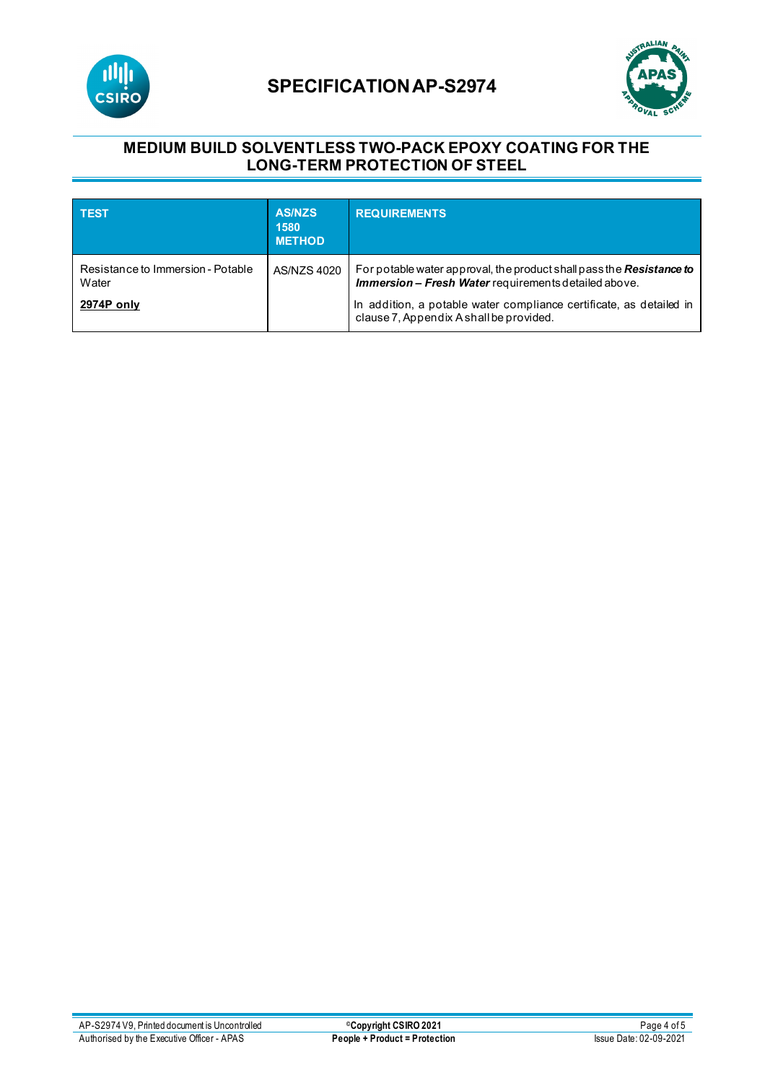

# **SPECIFICATIONAP-S2974**



## **MEDIUM BUILD SOLVENTLESS TWO-PACK EPOXY COATING FOR THE LONG-TERM PROTECTION OF STEEL**

| <b>TEST</b>                                | <b>AS/NZS</b><br>1580<br><b>METHOD</b> | <b>REQUIREMENTS</b>                                                                                                                 |
|--------------------------------------------|----------------------------------------|-------------------------------------------------------------------------------------------------------------------------------------|
| Resistance to Immersion - Potable<br>Water | AS/NZS 4020                            | For potable water approval, the product shall pass the Resistance to<br><b>Immersion - Fresh Water</b> requirements detailed above. |
| 2974P only                                 |                                        | In addition, a potable water compliance certificate, as detailed in<br>clause 7, Appendix A shall be provided.                      |